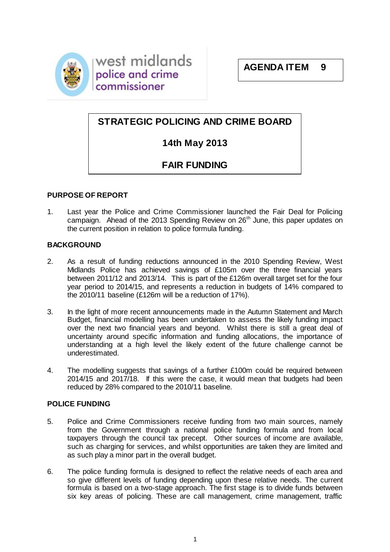

west midlands police and crime commissioner

# **STRATEGIC POLICING AND CRIME BOARD**

# **14th May 2013**

# **FAIR FUNDING**

## **PURPOSE OF REPORT**

1. Last year the Police and Crime Commissioner launched the Fair Deal for Policing campaign. Ahead of the 2013 Spending Review on  $26<sup>th</sup>$  June, this paper updates on the current position in relation to police formula funding.

## **BACKGROUND**

- 2. As a result of funding reductions announced in the 2010 Spending Review, West Midlands Police has achieved savings of £105m over the three financial years between 2011/12 and 2013/14. This is part of the £126m overall target set for the four year period to 2014/15, and represents a reduction in budgets of 14% compared to the 2010/11 baseline (£126m will be a reduction of 17%).
- 3. In the light of more recent announcements made in the Autumn Statement and March Budget, financial modelling has been undertaken to assess the likely funding impact over the next two financial years and beyond. Whilst there is still a great deal of uncertainty around specific information and funding allocations, the importance of understanding at a high level the likely extent of the future challenge cannot be underestimated.
- 4. The modelling suggests that savings of a further £100m could be required between 2014/15 and 2017/18. If this were the case, it would mean that budgets had been reduced by 28% compared to the 2010/11 baseline.

# **POLICE FUNDING**

- 5. Police and Crime Commissioners receive funding from two main sources, namely from the Government through a national police funding formula and from local taxpayers through the council tax precept. Other sources of income are available, such as charging for services, and whilst opportunities are taken they are limited and as such play a minor part in the overall budget.
- 6. The police funding formula is designed to reflect the relative needs of each area and so give different levels of funding depending upon these relative needs. The current formula is based on a two-stage approach. The first stage is to divide funds between six key areas of policing. These are call management, crime management, traffic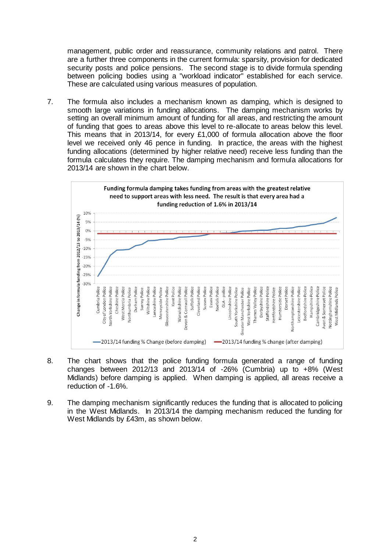management, public order and reassurance, community relations and patrol. There are a further three components in the current formula: sparsity, provision for dedicated security posts and police pensions. The second stage is to divide formula spending between policing bodies using a "workload indicator" established for each service. These are calculated using various measures of population.

7. The formula also includes a mechanism known as damping, which is designed to smooth large variations in funding allocations. The damping mechanism works by setting an overall minimum amount of funding for all areas, and restricting the amount of funding that goes to areas above this level to re-allocate to areas below this level. This means that in 2013/14, for every £1,000 of formula allocation above the floor level we received only 46 pence in funding. In practice, the areas with the highest funding allocations (determined by higher relative need) receive less funding than the formula calculates they require. The damping mechanism and formula allocations for 2013/14 are shown in the chart below.



- 8. The chart shows that the police funding formula generated a range of funding changes between  $2012/13$  and  $2013/14$  of  $-26%$  (Cumbria) up to  $+8%$  (West Midlands) before damping is applied. When damping is applied, all areas receive a reduction of -1.6%.
- 9. The damping mechanism significantly reduces the funding that is allocated to policing in the West Midlands. In 2013/14 the damping mechanism reduced the funding for West Midlands by £43m, as shown below.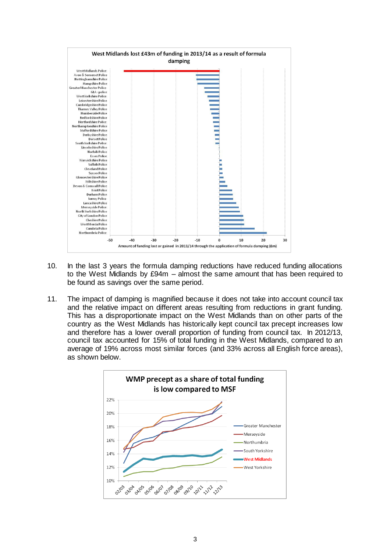

- 10. In the last 3 years the formula damping reductions have reduced funding allocations to the West Midlands by £94m – almost the same amount that has been required to be found as savings over the same period.
- 11. The impact of damping is magnified because it does not take into account council tax and the relative impact on different areas resulting from reductions in grant funding. This has a disproportionate impact on the West Midlands than on other parts of the country as the West Midlands has historically kept council tax precept increases low and therefore has a lower overall proportion of funding from council tax. In 2012/13, council tax accounted for 15% of total funding in the West Midlands, compared to an average of 19% across most similar forces (and 33% across all English force areas), as shown below.

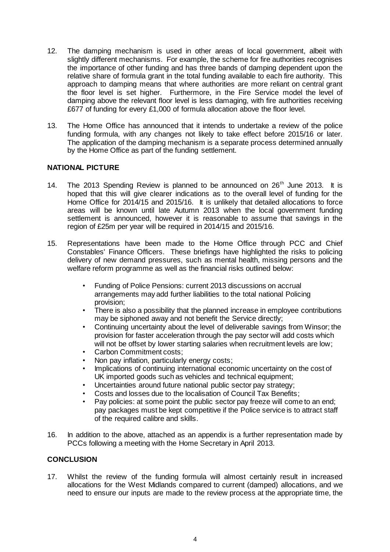- 12. The damping mechanism is used in other areas of local government, albeit with slightly different mechanisms. For example, the scheme for fire authorities recognises the importance of other funding and has three bands of damping dependent upon the relative share of formula grant in the total funding available to each fire authority. This approach to damping means that where authorities are more reliant on central grant the floor level is set higher. Furthermore, in the Fire Service model the level of damping above the relevant floor level is less damaging, with fire authorities receiving £677 of funding for every £1,000 of formula allocation above the floor level.
- 13. The Home Office has announced that it intends to undertake a review of the police funding formula, with any changes not likely to take effect before 2015/16 or later. The application of the damping mechanism is a separate process determined annually by the Home Office as part of the funding settlement.

#### **NATIONAL PICTURE**

- 14. The 2013 Spending Review is planned to be announced on  $26<sup>th</sup>$  June 2013. It is hoped that this will give clearer indications as to the overall level of funding for the Home Office for 2014/15 and 2015/16. It is unlikely that detailed allocations to force areas will be known until late Autumn 2013 when the local government funding settlement is announced, however it is reasonable to assume that savings in the region of £25m per year will be required in 2014/15 and 2015/16.
- 15. Representations have been made to the Home Office through PCC and Chief Constables' Finance Officers. These briefings have highlighted the risks to policing delivery of new demand pressures, such as mental health, missing persons and the welfare reform programme as well as the financial risks outlined below:
	- Funding of Police Pensions: current 2013 discussions on accrual arrangements may add further liabilities to the total national Policing provision;
	- There is also a possibility that the planned increase in employee contributions may be siphoned away and not benefit the Service directly;
	- Continuing uncertainty about the level of deliverable savings from Winsor; the provision for faster acceleration through the pay sector will add costs which will not be offset by lower starting salaries when recruitment levels are low;
	- Carbon Commitment costs;
	- Non pay inflation, particularly energy costs;
	- Implications of continuing international economic uncertainty on the cost of UK imported goods such as vehicles and technical equipment;
	- Uncertainties around future national public sector pay strategy;
	- Costs and losses due to the localisation of Council Tax Benefits;
	- Pay policies: at some point the public sector pay freeze will come to an end; pay packages must be kept competitive if the Police service is to attract staff of the required calibre and skills.
- 16. In addition to the above, attached as an appendix is a further representation made by PCCs following a meeting with the Home Secretary in April 2013.

## **CONCLUSION**

17. Whilst the review of the funding formula will almost certainly result in increased allocations for the West Midlands compared to current (damped) allocations, and we need to ensure our inputs are made to the review process at the appropriate time, the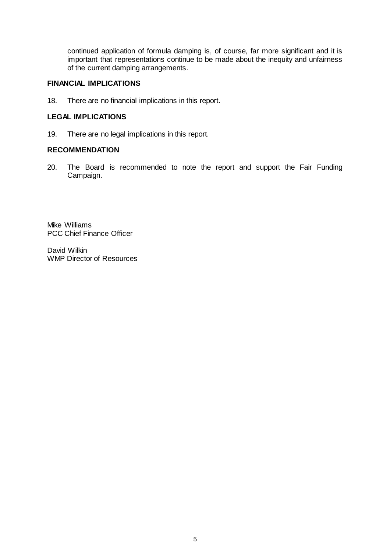continued application of formula damping is, of course, far more significant and it is important that representations continue to be made about the inequity and unfairness of the current damping arrangements.

### **FINANCIAL IMPLICATIONS**

18. There are no financial implications in this report.

#### **LEGAL IMPLICATIONS**

19. There are no legal implications in this report.

#### **RECOMMENDATION**

20. The Board is recommended to note the report and support the Fair Funding Campaign.

Mike Williams PCC Chief Finance Officer

David Wilkin WMP Director of Resources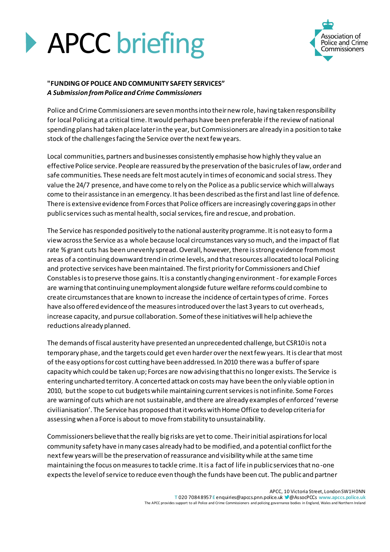



#### **"FUNDING OF POLICE AND COMMUNITY SAFETY SERVICES"** *A Submission from Police and Crime Commissioners*

Police and Crime Commissioners are seven months into their new role, having taken responsibility for local Policing at a critical time. It would perhaps have been preferable if the review of national spending plans had taken place later in the year, but Commissioners are already in a position to take stock of the challenges facing the Service over the next few years.

Local communities, partners and businesses consistently emphasise how highly they value an effective Police service. People are reassured by the preservation of the basic rules of law, order and safe communities. These needs are felt most acutely in times of economic and social stress. They value the 24/7 presence, and have come to rely on the Police as a public service which will always come to their assistance in an emergency. It has been described as the first and last line of defence. There is extensive evidence from Forces that Police officers are increasingly covering gaps in other public services such as mental health, social services, fire and rescue, and probation.

The Service has responded positively to the national austerity programme. It is not easy to form a view across the Service as a whole because local circumstances vary so much, and the impact of flat rate % grant cuts has been unevenly spread. Overall, however, there is strong evidence from most areas of a continuing downward trend in crime levels, and that resources allocated to local Policing and protective services have been maintained. The first priority for Commissioners and Chief Constables is to preserve those gains. It is a constantly changing environment - for example Forces are warning that continuing unemployment alongside future welfare reforms could combine to create circumstances that are known to increase the incidence of certain types of crime. Forces have also offered evidence of the measures introduced over the last 3 years to cut overheads, increase capacity, and pursue collaboration. Some of these initiatives will help achieve the reductions already planned.

The demands of fiscal austerity have presented an unprecedented challenge, but CSR10 is not a temporary phase, and the targets could get even harder over the next few years. It is clear that most of the easy options for cost cutting have been addressed. In 2010 there was a buffer of spare capacity which could be taken up; Forces are now advising that this no longer exists. The Service is entering uncharted territory. A concerted attack on costs may have been the only viable option in 2010, but the scope to cut budgets while maintaining current services is not infinite. Some Forces are warning of cuts which are not sustainable, and there are already examples of enforced 'reverse civilianisation'. The Service has proposed that it works with Home Office to develop criteria for assessing when a Force is about to move from stability to unsustainability.

Commissioners believe that the really big risks are yet to come. Their initial aspirations for local community safety have in many cases already had to be modified, and a potential conflict for the next few years will be the preservation of reassurance and visibility while at the same time maintaining the focus on measures to tackle crime. It is a fact of life in public services that no-one expects the level of service to reduce even though the funds have been cut. The public and partner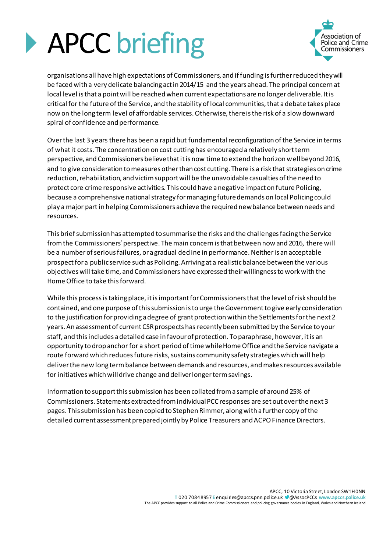



organisations all have high expectations of Commissioners, and if funding is further reduced they will be faced with a very delicate balancing act in 2014/15 and the years ahead. The principal concern at local level is that a point will be reached when current expectations are no longer deliverable. It is critical for the future of the Service, and the stability of local communities, that a debate takes place now on the long term level of affordable services. Otherwise, there is the risk of a slow downward spiral of confidence and performance.

Over the last 3 years there has been a rapid but fundamental reconfiguration of the Service in terms of what it costs. The concentration on cost cutting has encouraged a relatively short term perspective, and Commissioners believe that it is now time to extend the horizon well beyond 2016, and to give consideration to measures other than cost cutting. There is a risk that strategies on crime reduction, rehabilitation, and victim support will be the unavoidable casualties of the need to protect core crime responsive activities. This could have a negative impact on future Policing, because a comprehensive national strategy for managing future demands on local Policing could play a major part in helping Commissioners achieve the required new balance between needs and resources.

This brief submission has attempted to summarise the risks and the challenges facing the Service from the Commissioners' perspective. The main concern is that between now and 2016, there will be a number of serious failures, or a gradual decline in performance. Neither is an acceptable prospect for a public service such as Policing. Arriving at a realistic balance between the various objectives will take time, and Commissioners have expressed their willingness to work with the Home Office to take this forward.

While this process is taking place, it is important for Commissioners that the level of risk should be contained, and one purpose of this submission is to urge the Government to give early consideration to the justification for providing a degree of grant protection within the Settlements for the next 2 years. An assessment of current CSR prospects has recently been submitted by the Service to your staff, and this includes a detailed case in favour of protection. To paraphrase, however, it is an opportunity to drop anchor for a short period of time while Home Office and the Service navigate a route forward which reduces future risks, sustains community safety strategies which will help deliver the new long term balance between demands and resources, and makes resources available for initiatives which will drive change and deliver longer term savings.

Information to support this submission has been collated from a sample of around 25% of Commissioners. Statements extracted from individual PCC responses are set out over the next 3 pages. This submission has been copied to Stephen Rimmer, along with a further copy of the detailed current assessment prepared jointly by Police Treasurers and ACPO Finance Directors.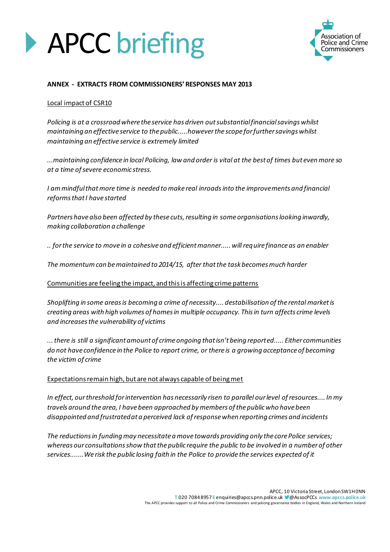



#### **ANNEX - EXTRACTS FROM COMMISSIONERS' RESPONSES MAY 2013**

#### Local impact of CSR10

*Policing is at a crossroad where the service has driven out substantial financial savings whilst maintaining an effective service to the public.....however the scope for further savings whilst maintaining an effective service is extremely limited*

*...maintaining confidence in local Policing, law and order is vital at the best of times but even more so at a time of severe economic stress.*

*I am mindful that more time is needed to make real inroads into the improvements and financial reforms that I have started*

*Partners have also been affected by these cuts, resulting in some organisations looking inwardly, making collaboration a challenge*

*.. for the service to move in a cohesive and efficient manner..... will require finance as an enabler*

*The momentum can be maintained to 2014/15, after that the task becomes much harder*

Communities are feeling the impact, and this is affecting crime patterns

*Shoplifting in some areas is becoming a crime of necessity.... destabilisation of the rental market is creating areas with high volumes of homes in multiple occupancy. This in turn affects crime levels and increases the vulnerability of victims*

*... there is still a significant amount of crime ongoing that isn't being reported..... Either communities do not have confidence in the Police to report crime, or there is a growing acceptance of becoming the victim of crime*

#### Expectations remain high, but are not always capable of being met

*In effect, our threshold for intervention has necessarily risen to parallel our level of resources.... In my travels around the area, I have been approached by members of the public who have been disappointed and frustrated at a perceived lack of response when reporting crimes and incidents*

*The reductions in funding may necessitate a move towards providing only the core Police services; whereas our consultations show that the public require the public to be involved in a number of other services.......We risk the public losing faith in the Police to provide the services expected of it*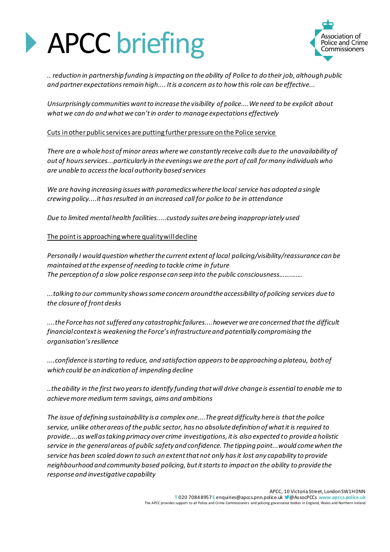# **APCC briefing**



*.. reduction in partnership funding is impacting on the ability of Police to do their job, although public and partner expectations remain high.... It is a concern as to how this role can be effective...*

*Unsurprisingly communities want to increase the visibility of police....We need to be explicit about what we can do and what we can't in order to manage expectations effectively*

#### Cuts in other public services are putting further pressure on the Police service

*There are a whole host of minor areas where we constantly receive calls due to the unavailability of out of hours services...particularly in the evenings we are the port of call for many individuals who are unable to access the local authority based services*

*We are having increasing issues with paramedics where the local service has adopted a single crewing policy....it has resulted in an increased call for police to be in attendance*

*Due to limited mental health facilities.....custody suites are being inappropriately used*

#### The point is approaching where quality will decline

*Personally I would question whether the current extent of local policing/visibility/reassurance can be maintained at the expense of needing to tackle crime in future The perception of a slow police response can seep into the public consciousness.............*

*...talking to our community shows some concern around the accessibility of policing services due to the closure of front desks*

*....the Force has not suffered any catastrophic failures....however we are concerned that the difficult financial context is weakening the Force's infrastructure and potentially compromising the organisation's resilience*

*....confidence is starting to reduce, and satisfaction appears to be approaching a plateau, both of which could be an indication of impending decline*

*..the ability in the first two years to identify funding that will drive change is essential to enable me to achieve more medium term savings, aims and ambitions*

*The issue of defining sustainability is a complex one....The great difficulty here is that the police service, unlike other areas of the public sector, has no absolute definition of what it is required to provide....as well as taking primacy over crime investigations, it is also expected to provide a holistic service in the general areas of public safety and confidence. The tipping point...would come when the service has been scaled down to such an extent that not only has it lost any capability to provide neighbourhood and community based policing, but it starts to impact on the ability to provide the response and investigative capability*